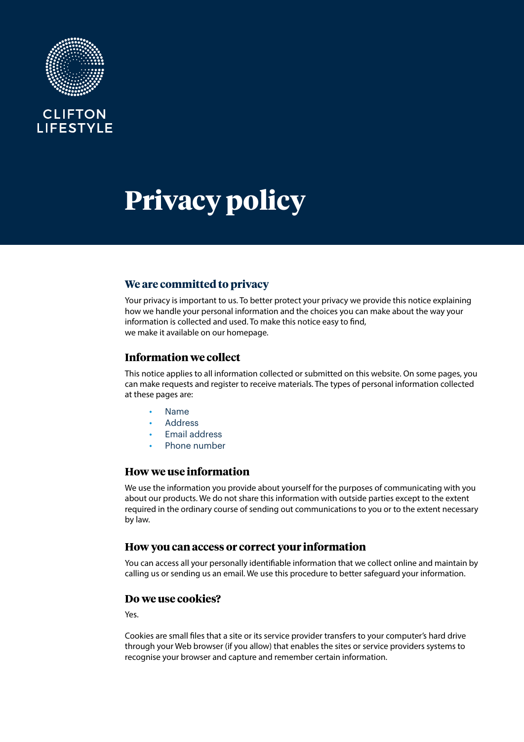

# **CLIFTON** LIFESTYLE

# **Privacy policy**

# **We are committed to privacy**

Your privacy is important to us. To better protect your privacy we provide this notice explaining how we handle your personal information and the choices you can make about the way your information is collected and used. To make this notice easy to find, we make it available on our homepage.

### **Information we collect**

This notice applies to all information collected or submitted on this website. On some pages, you can make requests and register to receive materials. The types of personal information collected at these pages are:

- Name
- **Address**
- Email address
- Phone number

# **How we use information**

We use the information you provide about yourself for the purposes of communicating with you about our products. We do not share this information with outside parties except to the extent required in the ordinary course of sending out communications to you or to the extent necessary by law.

#### **How you can access or correct your information**

You can access all your personally identifiable information that we collect online and maintain by calling us or sending us an email. We use this procedure to better safeguard your information.

#### **Do we use cookies?**

Yes.

Cookies are small files that a site or its service provider transfers to your computer's hard drive through your Web browser (if you allow) that enables the sites or service providers systems to recognise your browser and capture and remember certain information.